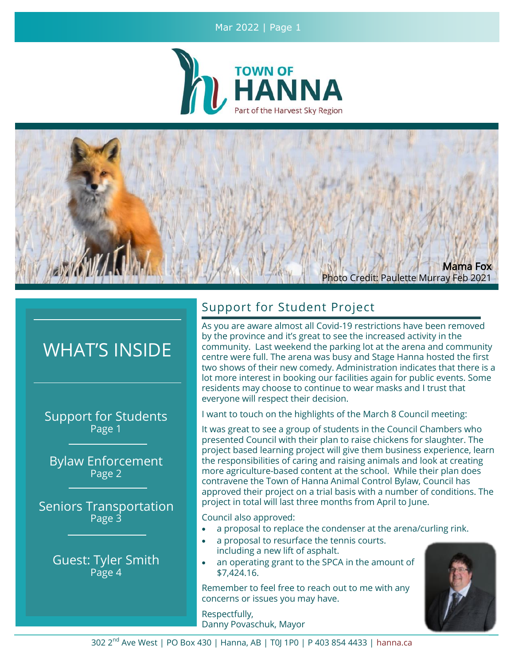## Mar 2022 | Page 1





# WHAT'S INSIDE

Support for Students Page 1

Bylaw Enforcement Page 2

Seniors Transportation Page 3

> Guest: Tyler Smith Page 4

# Support for Student Project

As you are aware almost all Covid-19 restrictions have been removed by the province and it's great to see the increased activity in the community. Last weekend the parking lot at the arena and community centre were full. The arena was busy and Stage Hanna hosted the first two shows of their new comedy. Administration indicates that there is a lot more interest in booking our facilities again for public events. Some residents may choose to continue to wear masks and I trust that everyone will respect their decision.

I want to touch on the highlights of the March 8 Council meeting:

It was great to see a group of students in the Council Chambers who presented Council with their plan to raise chickens for slaughter. The project based learning project will give them business experience, learn the responsibilities of caring and raising animals and look at creating more agriculture-based content at the school. While their plan does contravene the Town of Hanna Animal Control Bylaw, Council has approved their project on a trial basis with a number of conditions. The project in total will last three months from April to June.

Council also approved:

- a proposal to replace the condenser at the arena/curling rink.
- a proposal to resurface the tennis courts. including a new lift of asphalt.
- an operating grant to the SPCA in the amount of \$7,424.16.

Remember to feel free to reach out to me with any concerns or issues you may have.

Respectfully, Danny Povaschuk, Mayor

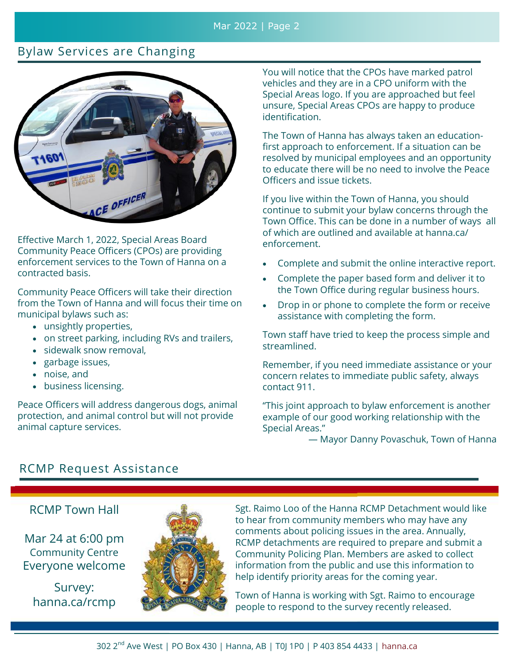## Mar 2022 | Page 2

# Bylaw Services are Changing



Effective March 1, 2022, Special Areas Board Community Peace Officers (CPOs) are providing enforcement services to the Town of Hanna on a contracted basis.

Community Peace Officers will take their direction from the Town of Hanna and will focus their time on municipal bylaws such as:

- unsightly properties,
- on street parking, including RVs and trailers,
- sidewalk snow removal,
- garbage issues,
- noise, and
- business licensing.

Peace Officers will address dangerous dogs, animal protection, and animal control but will not provide animal capture services.

You will notice that the CPOs have marked patrol vehicles and they are in a CPO uniform with the Special Areas logo. If you are approached but feel unsure, Special Areas CPOs are happy to produce identification.

The Town of Hanna has always taken an educationfirst approach to enforcement. If a situation can be resolved by municipal employees and an opportunity to educate there will be no need to involve the Peace Officers and issue tickets.

If you live within the Town of Hanna, you should continue to submit your bylaw concerns through the Town Office. This can be done in a number of ways all of which are outlined and available at hanna.ca/ enforcement.

- Complete and submit the online interactive report.
- Complete the paper based form and deliver it to the Town Office during regular business hours.
- Drop in or phone to complete the form or receive assistance with completing the form.

Town staff have tried to keep the process simple and streamlined.

Remember, if you need immediate assistance or your concern relates to immediate public safety, always contact 911.

"This joint approach to bylaw enforcement is another example of our good working relationship with the Special Areas."

— Mayor Danny Povaschuk, Town of Hanna

# RCMP Request Assistance

## RCMP Town Hall

Mar 24 at 6:00 pm Community Centre Everyone welcome

Survey: hanna.ca/rcmp



Sgt. Raimo Loo of the Hanna RCMP Detachment would like to hear from community members who may have any comments about policing issues in the area. Annually, RCMP detachments are required to prepare and submit a Community Policing Plan. Members are asked to collect information from the public and use this information to help identify priority areas for the coming year.

Town of Hanna is working with Sgt. Raimo to encourage people to respond to the survey recently released.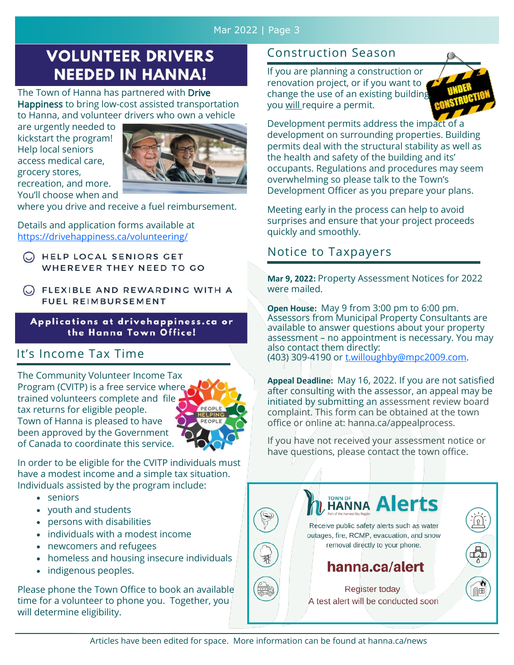## Mar 2022 | Page 3

# **VOLUNTEER DRIVERS NEEDED IN HANNA!**

The Town of Hanna has partnered with Drive Happiness to bring low-cost assisted transportation to Hanna, and volunteer drivers who own a vehicle

are urgently needed to kickstart the program! Help local seniors access medical care, grocery stores, recreation, and more. You'll choose when and



where you drive and receive a fuel reimbursement.

Details and application forms available at <https://drivehappiness.ca/volunteering/>

C HELP LOCAL SENIORS GET WHEREVER THEY NEED TO GO

C FLEXIBLE AND REWARDING WITH A FUEL REIMBURSEMENT

Applications at drivehappiness.ca or the Hanna Town Office!

# It's Income Tax Time

The Community Volunteer Income Tax Program (CVITP) is a free service where trained volunteers complete and file tax returns for eligible people. Town of Hanna is pleased to have been approved by the Government of Canada to coordinate this service.



In order to be eligible for the CVITP individuals must have a modest income and a simple tax situation. Individuals assisted by the program include:

- seniors
- youth and students
- persons with disabilities
- individuals with a modest income
- newcomers and refugees
- homeless and housing insecure individuals
- indigenous peoples.

Please phone the Town Office to book an available time for a volunteer to phone you. Together, you will determine eligibility.

# Construction Season

If you are planning a construction or renovation project, or if you want to change the use of an existing building you will require a permit.



Development permits address the impact of a development on surrounding properties. Building permits deal with the structural stability as well as the health and safety of the building and its' occupants. Regulations and procedures may seem overwhelming so please talk to the Town's Development Officer as you prepare your plans.

Meeting early in the process can help to avoid surprises and ensure that your project proceeds quickly and smoothly.

# Notice to Taxpayers

**Mar 9, 2022:** Property Assessment Notices for 2022 were mailed.

**Open House:** May 9 from 3:00 pm to 6:00 pm. Assessors from Municipal Property Consultants are available to answer questions about your property assessment – no appointment is necessary. You may also contact them directly: (403) 309-4190 or [t.willoughby@mpc2009.com.](mailto:t.willoughby@mpc2009.com)

**Appeal Deadline:** May 16, 2022. If you are not satisfied after consulting with the assessor, an appeal may be initiated by submitting an assessment review board complaint. This form can be obtained at the town office or online at: hanna.ca/appealprocess.

If you have not received your assessment notice or have questions, please contact the town office.

| L HANNA Alerts<br>Receive public safety alerts such as water<br>outages, fire, RCMP, evacuation, and snow<br>removal directly to your phone.<br>hanna.ca/alert |  |
|----------------------------------------------------------------------------------------------------------------------------------------------------------------|--|
| Register today<br>A test alert will be conducted soon                                                                                                          |  |